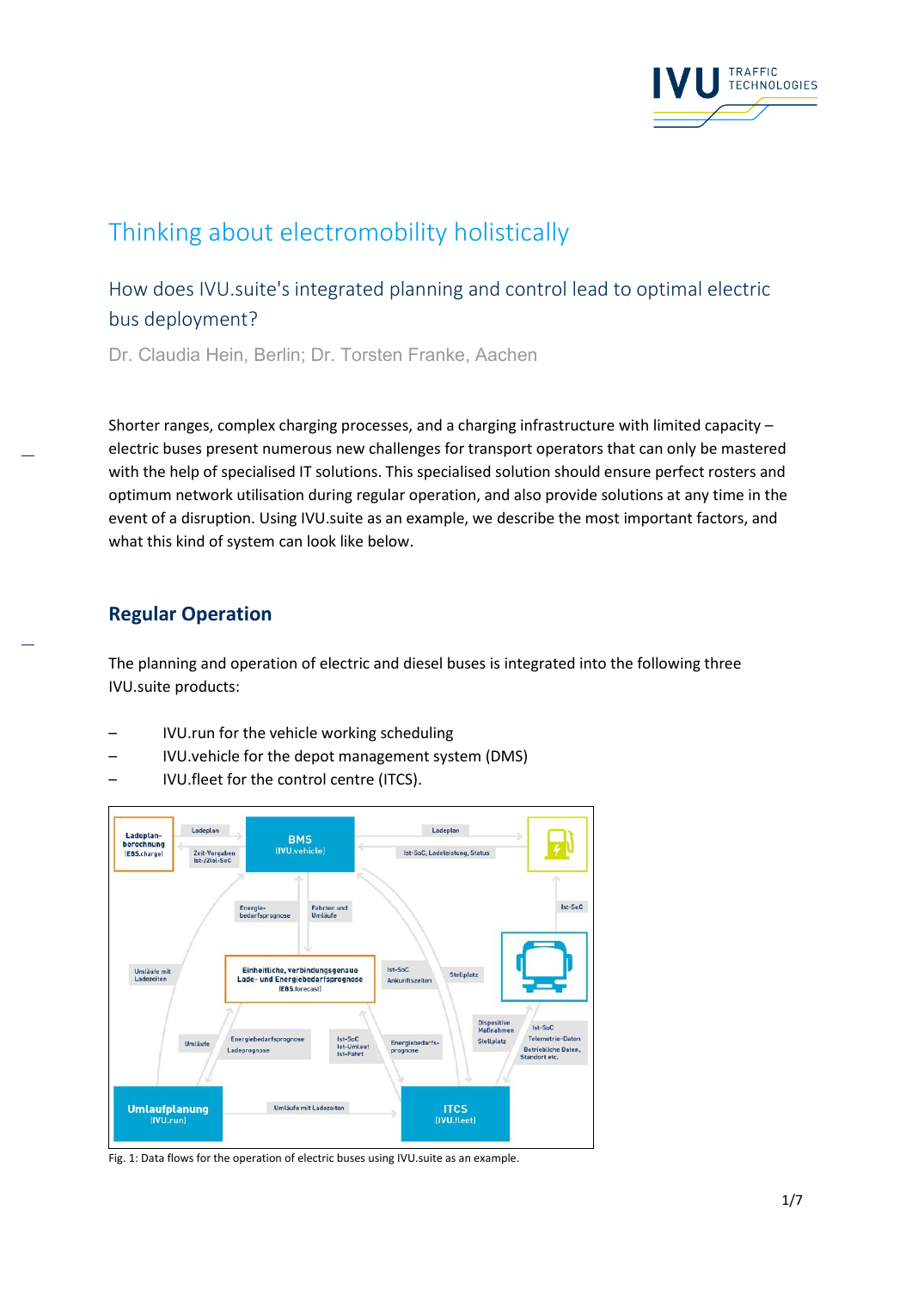

# Thinking about electromobility holistically

How does IVU.suite's integrated planning and control lead to optimal electric bus deployment?

Dr. Claudia Hein, Berlin; Dr. Torsten Franke, Aachen

Shorter ranges, complex charging processes, and a charging infrastructure with limited capacity – electric buses present numerous new challenges for transport operators that can only be mastered with the help of specialised IT solutions. This specialised solution should ensure perfect rosters and optimum network utilisation during regular operation, and also provide solutions at any time in the event of a disruption. Using IVU.suite as an example, we describe the most important factors, and what this kind of system can look like below.

#### **Regular Operation**

The planning and operation of electric and diesel buses is integrated into the following three IVU.suite products:

- IVU.run for the vehicle working scheduling
- IVU.vehicle for the depot management system (DMS)
- IVU.fleet for the control centre (ITCS).



Fig. 1: Data flows for the operation of electric buses using IVU.suite as an example.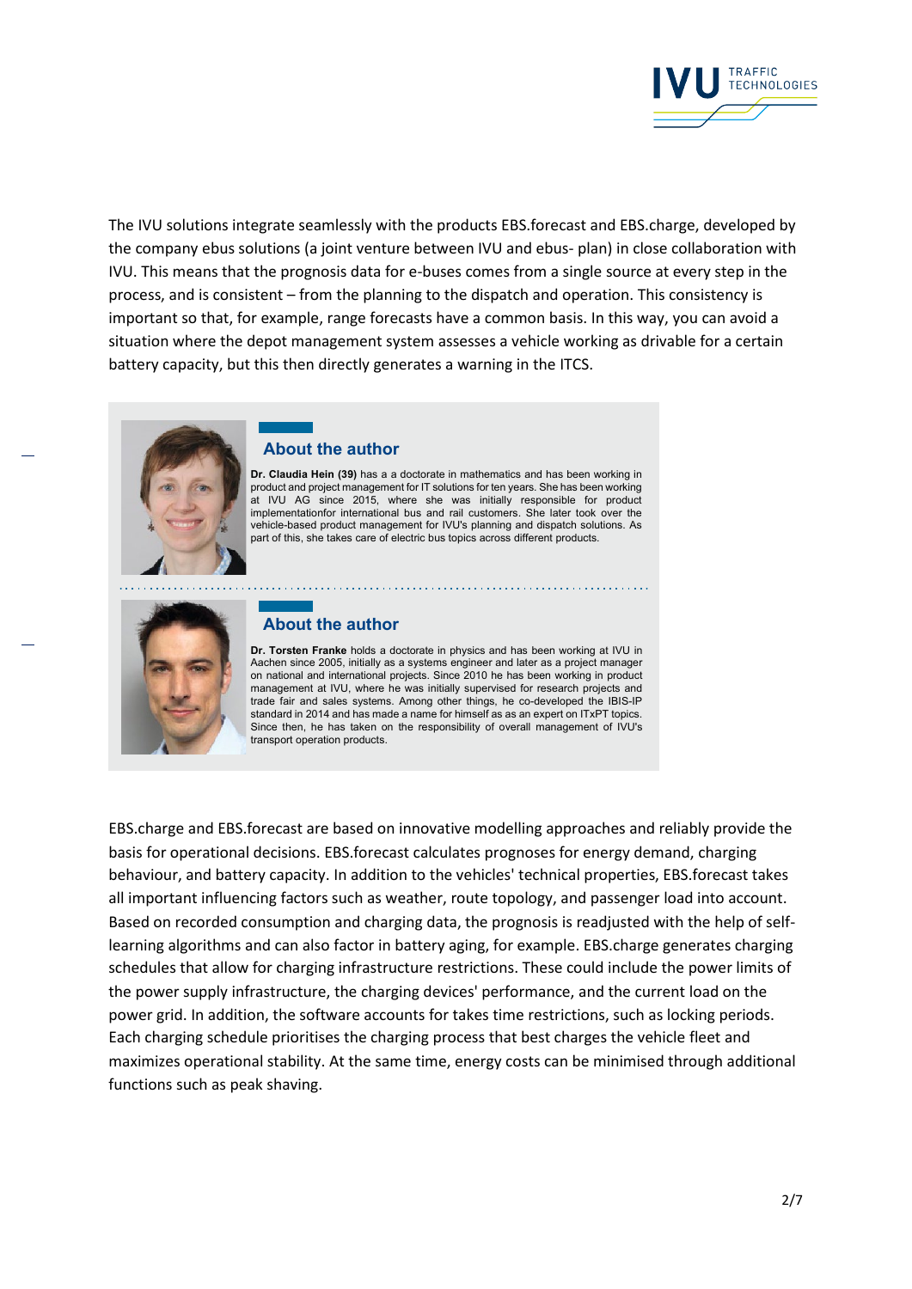

The IVU solutions integrate seamlessly with the products EBS.forecast and EBS.charge, developed by the company ebus solutions (a joint venture between IVU and ebus- plan) in close collaboration with IVU. This means that the prognosis data for e-buses comes from a single source at every step in the process, and is consistent – from the planning to the dispatch and operation. This consistency is important so that, for example, range forecasts have a common basis. In this way, you can avoid a situation where the depot management system assesses a vehicle working as drivable for a certain battery capacity, but this then directly generates a warning in the ITCS.

#### **About the author**

**Dr. Claudia Hein (39)** has a a doctorate in mathematics and has been working in product and project management for IT solutions for ten years. She has been working at IVU AG since 2015, where she was initially responsible for product implementationfor international bus and rail customers. She later took over the vehicle-based product management for IVU's planning and dispatch solutions. As part of this, she takes care of electric bus topics across different products.

# **About the author**

**Dr. Torsten Franke** holds a doctorate in physics and has been working at IVU in Aachen since 2005, initially as a systems engineer and later as a project manager on national and international projects. Since 2010 he has been working in product management at IVU, where he was initially supervised for research projects and trade fair and sales systems. Among other things, he co-developed the IBIS-IP standard in 2014 and has made a name for himself as as an expert on ITxPT topics. Since then, he has taken on the responsibility of overall management of IVU's transport operation products.

EBS.charge and EBS.forecast are based on innovative modelling approaches and reliably provide the basis for operational decisions. EBS.forecast calculates prognoses for energy demand, charging behaviour, and battery capacity. In addition to the vehicles' technical properties, EBS.forecast takes all important influencing factors such as weather, route topology, and passenger load into account. Based on recorded consumption and charging data, the prognosis is readjusted with the help of selflearning algorithms and can also factor in battery aging, for example. EBS.charge generates charging schedules that allow for charging infrastructure restrictions. These could include the power limits of the power supply infrastructure, the charging devices' performance, and the current load on the power grid. In addition, the software accounts for takes time restrictions, such as locking periods. Each charging schedule prioritises the charging process that best charges the vehicle fleet and maximizes operational stability. At the same time, energy costs can be minimised through additional functions such as peak shaving.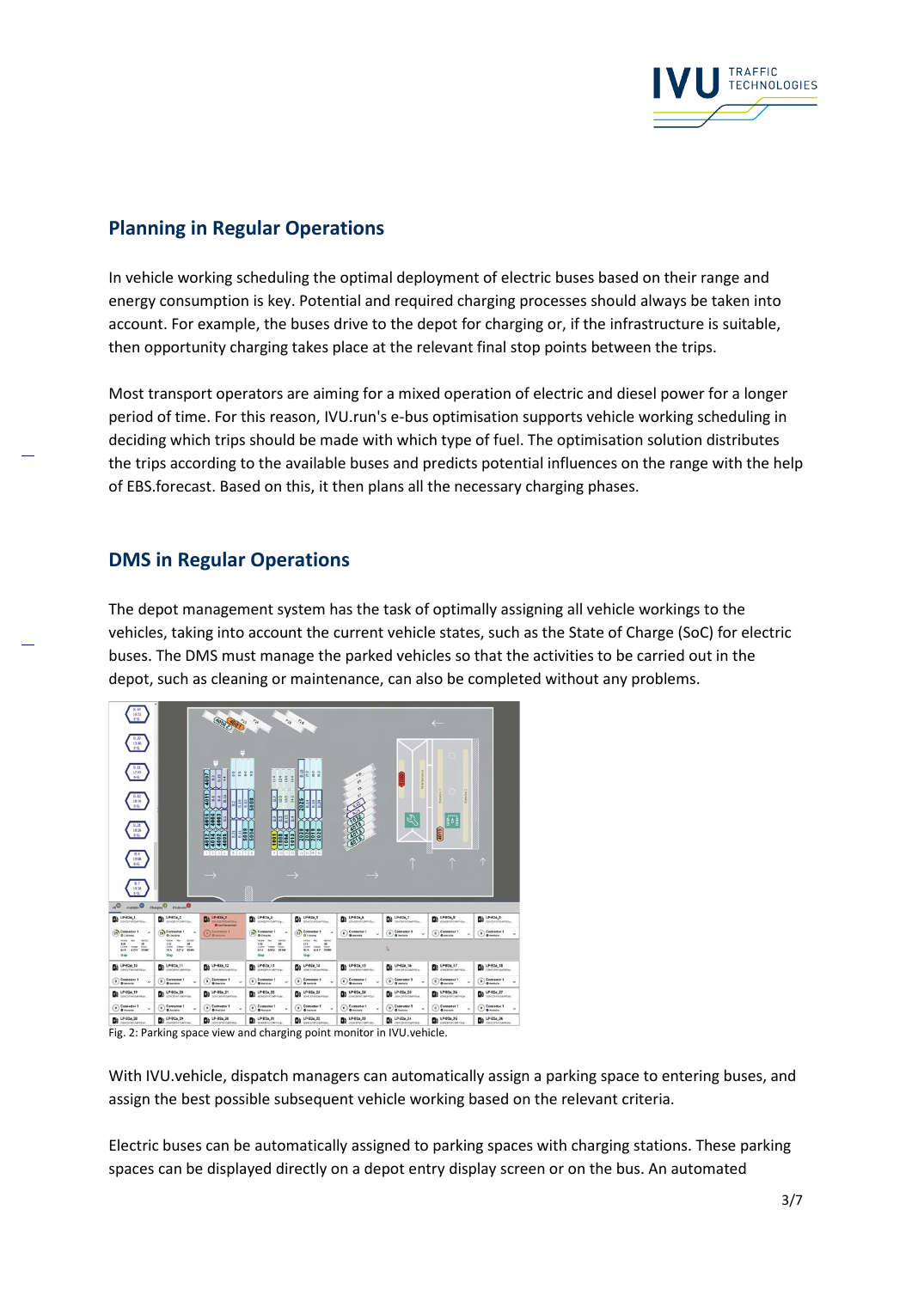

# **Planning in Regular Operations**

In vehicle working scheduling the optimal deployment of electric buses based on their range and energy consumption is key. Potential and required charging processes should always be taken into account. For example, the buses drive to the depot for charging or, if the infrastructure is suitable, then opportunity charging takes place at the relevant final stop points between the trips.

Most transport operators are aiming for a mixed operation of electric and diesel power for a longer period of time. For this reason, IVU.run's e-bus optimisation supports vehicle working scheduling in deciding which trips should be made with which type of fuel. The optimisation solution distributes the trips according to the available buses and predicts potential influences on the range with the help of EBS.forecast. Based on this, it then plans all the necessary charging phases.

# **DMS in Regular Operations**

The depot management system has the task of optimally assigning all vehicle workings to the vehicles, taking into account the current vehicle states, such as the State of Charge (SoC) for electric buses. The DMS must manage the parked vehicles so that the activities to be carried out in the depot, such as cleaning or maintenance, can also be completed without any problems.

| $\frac{8.14}{16.52}$<br>$\frac{1.29}{13.46}$<br>ESI<br>$\frac{0.11}{12.6}$<br>Fig<br>8.12<br>18:16<br>69<br>18:26<br>FA<br>泉市<br>19:08<br>ESL<br>19:28<br>$Q_{\rm M}$<br><b>O</b> radiates | Charging <sup>O</sup> Problems <sup>O</sup>                                                                                                        | 40002<br>322<br>1007<br>H<br>Ş<br><b>AS</b><br>a<br>×6<br>ဖ<br>4004<br>Š<br>5005<br>E<br><b>Hele</b><br>4012<br>$1 \ 2 \ 3 \ 4 \ 5 \ 5 \ 6 \ 7 \ 8$                                       | IZII<br>$\overline{\mathbf{E}}$<br>2<br>$\frac{2}{3}$<br>5008<br>333<br>5004<br><b>OBSET</b><br>Ē                                 | $n_{2g} - n_{g}$<br>2222<br>$\frac{2}{3}$<br>2025<br>8.18<br>ā<br>E<br>2024<br>2024<br>2019<br>$9$ $10$ $11$ $12$ $13$ $14$ $15$ $16$                                                 | $\mathcal{Q}_{\mathfrak{p}}$<br>$\rightarrow$ |                                                                                                                                                                                                                                                                                                                                                                                                                                 | $\leftarrow$<br>(4019)      | 个                                          |
|--------------------------------------------------------------------------------------------------------------------------------------------------------------------------------------------|----------------------------------------------------------------------------------------------------------------------------------------------------|-------------------------------------------------------------------------------------------------------------------------------------------------------------------------------------------|-----------------------------------------------------------------------------------------------------------------------------------|---------------------------------------------------------------------------------------------------------------------------------------------------------------------------------------|-----------------------------------------------|---------------------------------------------------------------------------------------------------------------------------------------------------------------------------------------------------------------------------------------------------------------------------------------------------------------------------------------------------------------------------------------------------------------------------------|-----------------------------|--------------------------------------------|
| 224.1<br>писачирывае.                                                                                                                                                                      | $\mathbf{B}$ LP-82a, 2<br>постоянить.                                                                                                              | $\mathbf{B}$                                                                                                                                                                              | $\sum_{\text{min-correctedness}}$                                                                                                 | $\blacksquare$                                                                                                                                                                        | $\mathbf{B}$ LP-82a_6                         | Da LP-82a,7                                                                                                                                                                                                                                                                                                                                                                                                                     | 22.3<br><b>BIREFRISHING</b> | <b>De</b> LP-82a_9<br><b>ISHOPPSPOWPER</b> |
| 25 <sup>Connector 1</sup><br>$\lambda$                                                                                                                                                     | 20 Connector 1                                                                                                                                     | O Los Convection<br>C Comediar 1                                                                                                                                                          | Connector 1<br>٠                                                                                                                  | $23$ Connector 1<br>O Chargeo                                                                                                                                                         | Connector 1<br><b>O</b> Annihe                | Connector 1                                                                                                                                                                                                                                                                                                                                                                                                                     | $\odot$ Connector 1         | Connector 1                                |
| new me<br><b>MATRIX</b><br>$110 - 11$<br>$\frac{15}{100}$<br>tions way four<br>52 op                                                                                                       | $\begin{array}{ccc} 113 & \textrm{Re} & \textrm{Re} & 160 \\ 113 & \textrm{Re} & 10 \\ 208 & 6374 & \textrm{Re} & \textrm{Re} \end{array}$<br>Stop |                                                                                                                                                                                           | Taralar Hac<br><b>Territory</b><br>w<br><br><b>ATA</b> ANY <b>DEM</b><br>53 00                                                    | tehnik.<br><b>Faction</b><br>$\begin{array}{ccc} 112 & \mbox{mm} & 10 \\ \mbox{error} & \mbox{norm} & \mbox{mm} \\ 92.6 & 634 \, \mathrm{V} & 99 \, \mathrm{nm} \end{array}$<br>53.00 |                                               | Þ,                                                                                                                                                                                                                                                                                                                                                                                                                              |                             |                                            |
| LP-82a_10<br><b>CONTRACTOR</b>                                                                                                                                                             | LP-82a_11<br>ß۵<br>(последования).                                                                                                                 |                                                                                                                                                                                           | LP-82a_13<br><b>В</b> дискусудается:                                                                                              | $\mathbf{B}$ LP-82a_14                                                                                                                                                                | LP-82a_15                                     | $\begin{bmatrix}\n\mathbf{D} & \mathbf{L} \mathbf{P}\text{-}\mathbf{B} \mathbf{2} \mathbf{a}_n \mathbf{16} \\ \mathbf{D} & \mathbf{D} \mathbf{C} \mathbf{B} \mathbf{P} \mathbf{D} \mathbf{A} \mathbf{B} \mathbf{P} \mathbf{D} \mathbf{A} \mathbf{P} \mathbf{B} \mathbf{D} \mathbf{A} \mathbf{P} \mathbf{A} \mathbf{D} \mathbf{A} \mathbf{P} \mathbf{A} \mathbf{D} \mathbf{A} \mathbf{P} \mathbf{A} \mathbf{D} \mathbf{A} \math$ | LP-82a_17                   | LP-82a_18                                  |
| Comediar 1                                                                                                                                                                                 | $\odot$ Connector 1                                                                                                                                | $\odot$ Connector 1                                                                                                                                                                       | Connector 1                                                                                                                       | $\odot$ Connector 1                                                                                                                                                                   | Comedor 1                                     | Comediar 1                                                                                                                                                                                                                                                                                                                                                                                                                      | $\bigcirc$ Connector 1      | Comediar 1                                 |
| D LP-82a_19                                                                                                                                                                                | LP-02a_20<br><b>D</b> increasers.                                                                                                                  | LP-82a_21<br><b>B</b> <i>Insternance</i>                                                                                                                                                  | LP-82a_22<br><b>DO</b> <i><b>IDEOPTRAPTED</b></i>                                                                                 | $\mathbf{B}$ LP-82a, 23                                                                                                                                                               | $\mathbf{B}$ $\mathbf{u}$ P-82a_24            | Di LP-82a,25                                                                                                                                                                                                                                                                                                                                                                                                                    | D LP-824,26                 | $\mathbf{D}$ LP-02a_27                     |
| Comediar 1                                                                                                                                                                                 | Connector 1                                                                                                                                        | $\odot$ Connector 1                                                                                                                                                                       | Cometter 1                                                                                                                        | $\odot$ Connector 1                                                                                                                                                                   | Cometter 1                                    | Connector 1                                                                                                                                                                                                                                                                                                                                                                                                                     | $\odot$ Connector 1         | Comediat 1                                 |
| D LP-82a,28                                                                                                                                                                                | <b>D</b> LP-82a,29                                                                                                                                 | $\begin{bmatrix}\n\mathbf{b} & \mathbf{LP-02a\_30} \\ \mathbf{a} & \mathbf{m} & \mathbf{C} & \mathbf{M} & \mathbf{M} \\ \mathbf{m} & \mathbf{M} & \mathbf{M} & \mathbf{M}\n\end{bmatrix}$ | $\sum_{\text{m}} \frac{\text{LPA2a}_n \cdot 31}{\text{m} \cdot \text{LPA} \cdot 100 \cdot \text{LPA} \cdot 100 \cdot \text{LPA}}$ | De LP-824,32                                                                                                                                                                          | De LP-824_33                                  | De LP-82a_34                                                                                                                                                                                                                                                                                                                                                                                                                    | LP-824_35                   | De LP-82a,36                               |

Fig. 2: Parking space view and charging point monitor in IVU.vehicle.

With IVU.vehicle, dispatch managers can automatically assign a parking space to entering buses, and assign the best possible subsequent vehicle working based on the relevant criteria.

Electric buses can be automatically assigned to parking spaces with charging stations. These parking spaces can be displayed directly on a depot entry display screen or on the bus. An automated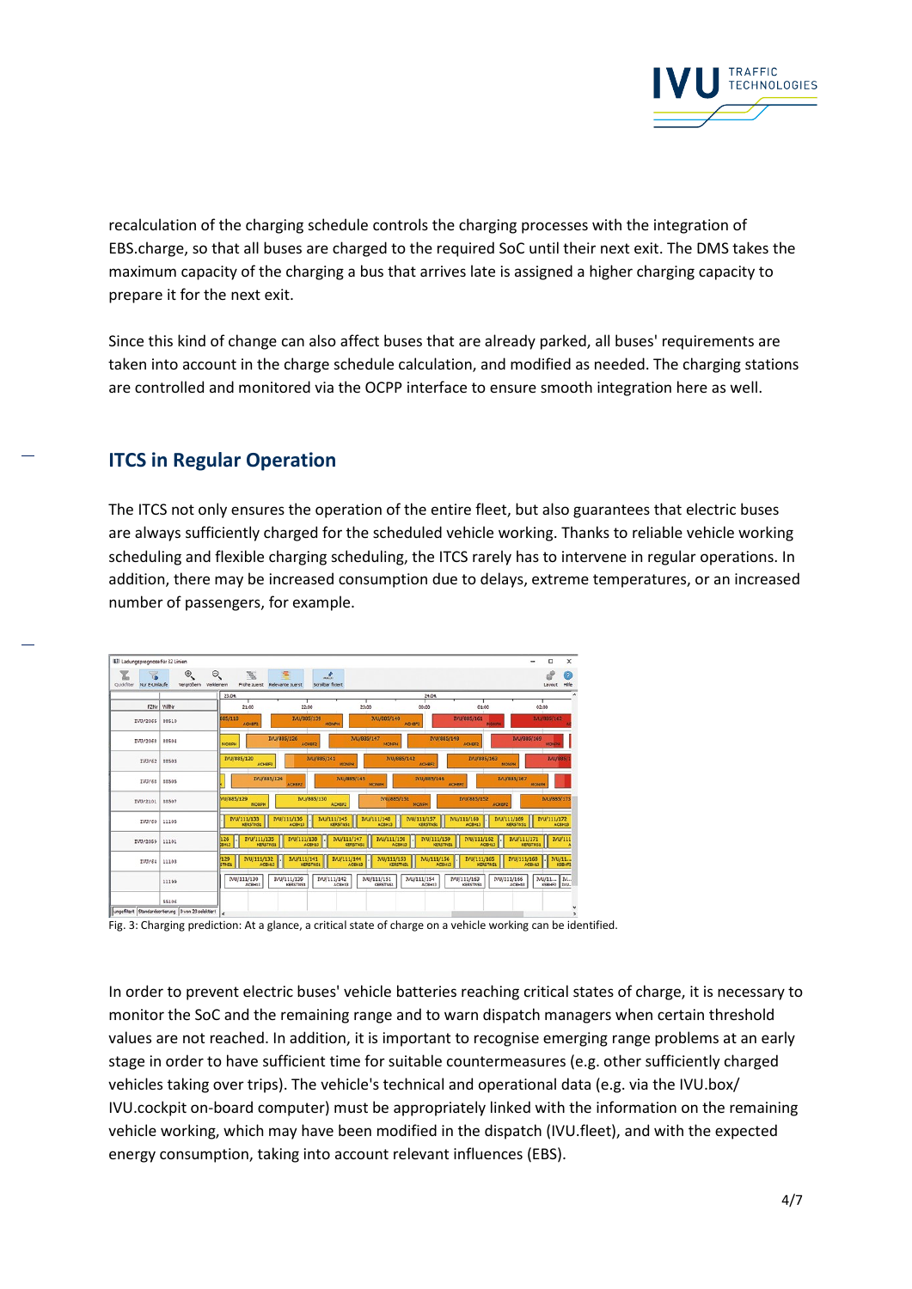

recalculation of the charging schedule controls the charging processes with the integration of EBS.charge, so that all buses are charged to the required SoC until their next exit. The DMS takes the maximum capacity of the charging a bus that arrives late is assigned a higher charging capacity to prepare it for the next exit.

Since this kind of change can also affect buses that are already parked, all buses' requirements are taken into account in the charge schedule calculation, and modified as needed. The charging stations are controlled and monitored via the OCPP interface to ensure smooth integration here as well.

# **ITCS in Regular Operation**

The ITCS not only ensures the operation of the entire fleet, but also guarantees that electric buses are always sufficiently charged for the scheduled vehicle working. Thanks to reliable vehicle working scheduling and flexible charging scheduling, the ITCS rarely has to intervene in regular operations. In addition, there may be increased consumption due to delays, extreme temperatures, or an increased number of passengers, for example.



Fig. 3: Charging prediction: At a glance, a critical state of charge on a vehicle working can be identified.

In order to prevent electric buses' vehicle batteries reaching critical states of charge, it is necessary to monitor the SoC and the remaining range and to warn dispatch managers when certain threshold values are not reached. In addition, it is important to recognise emerging range problems at an early stage in order to have sufficient time for suitable countermeasures (e.g. other sufficiently charged vehicles taking over trips). The vehicle's technical and operational data (e.g. via the IVU.box/ IVU.cockpit on-board computer) must be appropriately linked with the information on the remaining vehicle working, which may have been modified in the dispatch (IVU.fleet), and with the expected energy consumption, taking into account relevant influences (EBS).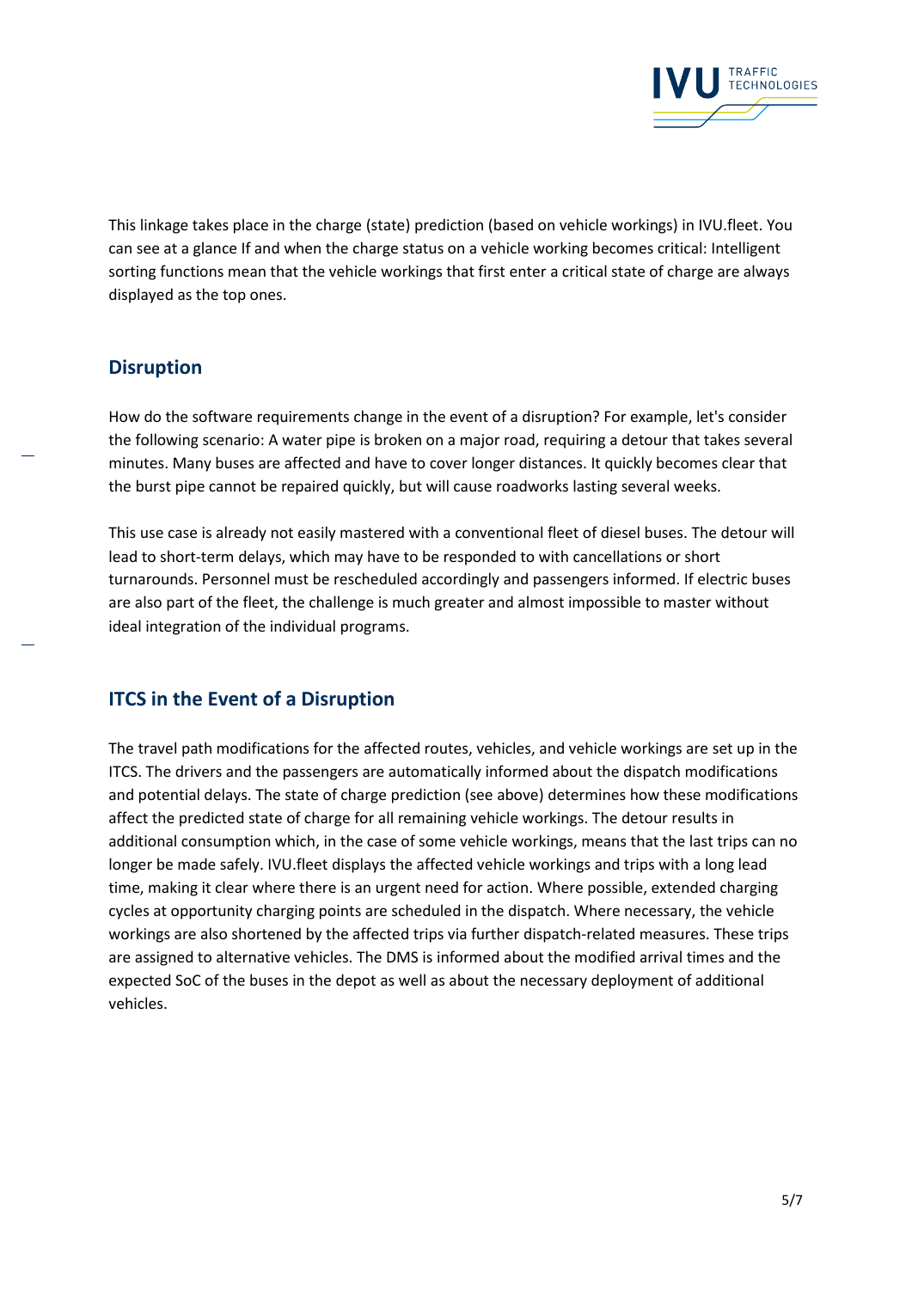

This linkage takes place in the charge (state) prediction (based on vehicle workings) in IVU.fleet. You can see at a glance If and when the charge status on a vehicle working becomes critical: Intelligent sorting functions mean that the vehicle workings that first enter a critical state of charge are always displayed as the top ones.

# **Disruption**

How do the software requirements change in the event of a disruption? For example, let's consider the following scenario: A water pipe is broken on a major road, requiring a detour that takes several minutes. Many buses are affected and have to cover longer distances. It quickly becomes clear that the burst pipe cannot be repaired quickly, but will cause roadworks lasting several weeks.

This use case is already not easily mastered with a conventional fleet of diesel buses. The detour will lead to short-term delays, which may have to be responded to with cancellations or short turnarounds. Personnel must be rescheduled accordingly and passengers informed. If electric buses are also part of the fleet, the challenge is much greater and almost impossible to master without ideal integration of the individual programs.

# **ITCS in the Event of a Disruption**

The travel path modifications for the affected routes, vehicles, and vehicle workings are set up in the ITCS. The drivers and the passengers are automatically informed about the dispatch modifications and potential delays. The state of charge prediction (see above) determines how these modifications affect the predicted state of charge for all remaining vehicle workings. The detour results in additional consumption which, in the case of some vehicle workings, means that the last trips can no longer be made safely. IVU.fleet displays the affected vehicle workings and trips with a long lead time, making it clear where there is an urgent need for action. Where possible, extended charging cycles at opportunity charging points are scheduled in the dispatch. Where necessary, the vehicle workings are also shortened by the affected trips via further dispatch-related measures. These trips are assigned to alternative vehicles. The DMS is informed about the modified arrival times and the expected SoC of the buses in the depot as well as about the necessary deployment of additional vehicles.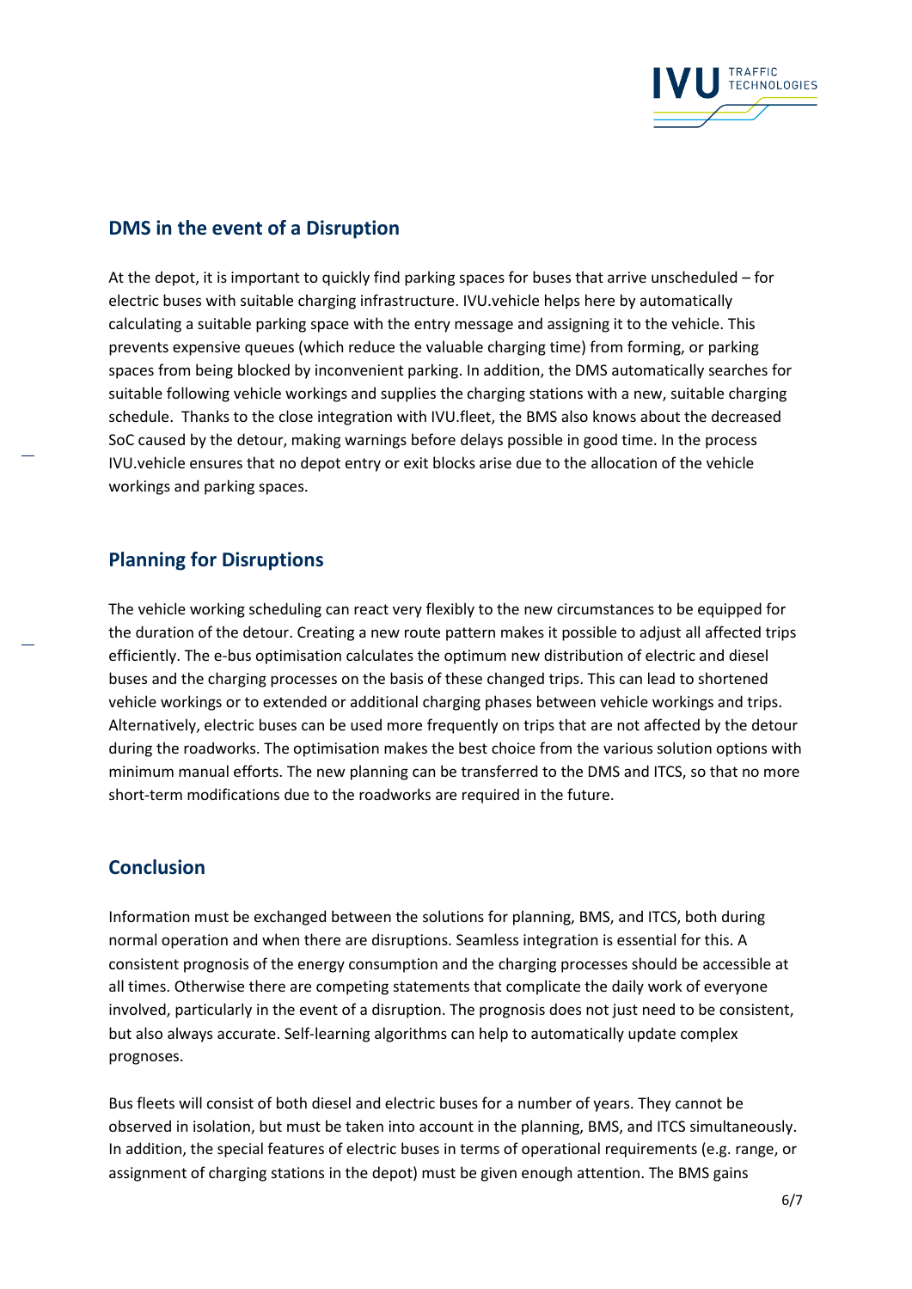

#### **DMS in the event of a Disruption**

At the depot, it is important to quickly find parking spaces for buses that arrive unscheduled – for electric buses with suitable charging infrastructure. IVU.vehicle helps here by automatically calculating a suitable parking space with the entry message and assigning it to the vehicle. This prevents expensive queues (which reduce the valuable charging time) from forming, or parking spaces from being blocked by inconvenient parking. In addition, the DMS automatically searches for suitable following vehicle workings and supplies the charging stations with a new, suitable charging schedule. Thanks to the close integration with IVU.fleet, the BMS also knows about the decreased SoC caused by the detour, making warnings before delays possible in good time. In the process IVU.vehicle ensures that no depot entry or exit blocks arise due to the allocation of the vehicle workings and parking spaces.

#### **Planning for Disruptions**

The vehicle working scheduling can react very flexibly to the new circumstances to be equipped for the duration of the detour. Creating a new route pattern makes it possible to adjust all affected trips efficiently. The e-bus optimisation calculates the optimum new distribution of electric and diesel buses and the charging processes on the basis of these changed trips. This can lead to shortened vehicle workings or to extended or additional charging phases between vehicle workings and trips. Alternatively, electric buses can be used more frequently on trips that are not affected by the detour during the roadworks. The optimisation makes the best choice from the various solution options with minimum manual efforts. The new planning can be transferred to the DMS and ITCS, so that no more short-term modifications due to the roadworks are required in the future.

#### **Conclusion**

Information must be exchanged between the solutions for planning, BMS, and ITCS, both during normal operation and when there are disruptions. Seamless integration is essential for this. A consistent prognosis of the energy consumption and the charging processes should be accessible at all times. Otherwise there are competing statements that complicate the daily work of everyone involved, particularly in the event of a disruption. The prognosis does not just need to be consistent, but also always accurate. Self-learning algorithms can help to automatically update complex prognoses.

Bus fleets will consist of both diesel and electric buses for a number of years. They cannot be observed in isolation, but must be taken into account in the planning, BMS, and ITCS simultaneously. In addition, the special features of electric buses in terms of operational requirements (e.g. range, or assignment of charging stations in the depot) must be given enough attention. The BMS gains